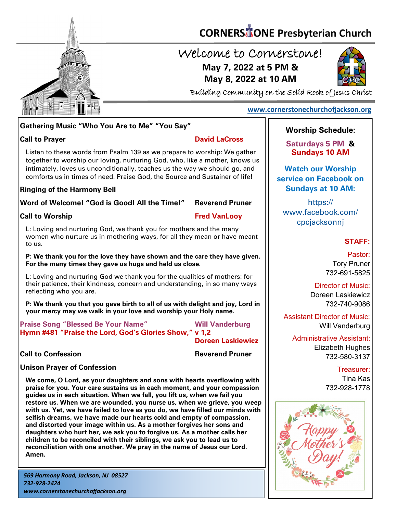

# **CORNERS** TONE Presbyterian Church

## Welcome to Cornerstone! **May 7, 2022 at 5 PM & May 8, 2022 at 10 AM**



Building Community on the Solid Rock of Jesus Christ

### **[www.cornerstonechurchofjackson.org](http://www.cornerstonechurchofjackson.org)**

### **Gathering Music "Who You Are to Me" "You Say"**

### **Call to Prayer David LaCross**

 together to worship our loving, nurturing God, who, like a mother, knows us Listen to these words from Psalm 139 as we prepare to worship: We gather intimately, loves us unconditionally, teaches us the way we should go, and comforts us in times of need. Praise God, the Source and Sustainer of life!

### **Ringing of the Harmony Bell**

**Word of Welcome! "God is Good! All the Time!" Reverend Pruner**

### **Call to Worship Call to Worship Call to Worship Call to Worship Call to Worship Call to Worship Call to Worship Call to Worship Call to Worship Call to Worship Call to Worship Call to Worship Call to Worship Call to Worsh**

L: Loving and nurturing God, we thank you for mothers and the many women who nurture us in mothering ways, for all they mean or have meant to us.

**P: We thank you for the love they have shown and the care they have given. For the many times they gave us hugs and held us close.**

L: Loving and nurturing God we thank you for the qualities of mothers: for their patience, their kindness, concern and understanding, in so many ways reflecting who you are.

**P: We thank you that you gave birth to all of us with delight and joy, Lord in your mercy may we walk in your love and worship your Holy name.**

**Praise Song "Blessed Be Your Name" Will Vanderburg Hymn #481 "Praise the Lord, God's Glories Show," v 1,2** 

**Doreen Laskiewicz**

**Call to Confession Reverend Pruner** 

### **Unison Prayer of Confession**

**We come, O Lord, as your daughters and sons with hearts overflowing with praise for you. Your care sustains us in each moment, and your compassion guides us in each situation. When we fall, you lift us, when we fail you restore us. When we are wounded, you nurse us, when we grieve, you weep with us. Yet, we have failed to love as you do, we have filled our minds with selfish dreams, we have made our hearts cold and empty of compassion, and distorted your image within us. As a mother forgives her sons and daughters who hurt her, we ask you to forgive us. As a mother calls her children to be reconciled with their siblings, we ask you to lead us to reconciliation with one another. We pray in the name of Jesus our Lord. Amen.**

### **Worship Schedule:**

**Saturdays 5 PM & Sundays 10 AM**

**Watch our Worship service on Facebook on Sundays at 10 AM:**

[https://](https://www.facebook.com/cpcjacksonnj) [www.facebook.com/](https://www.facebook.com/cpcjacksonnj) [cpcjacksonnj](https://www.facebook.com/cpcjacksonnj)

### **STAFF:**

Pastor: Tory Pruner 732-691-5825

Director of Music: Doreen Laskiewicz 732-740-9086

Assistant Director of Music: Will Vanderburg

Administrative Assistant: Elizabeth Hughes 732-580-3137

> Treasurer: Tina Kas 732-928-1778